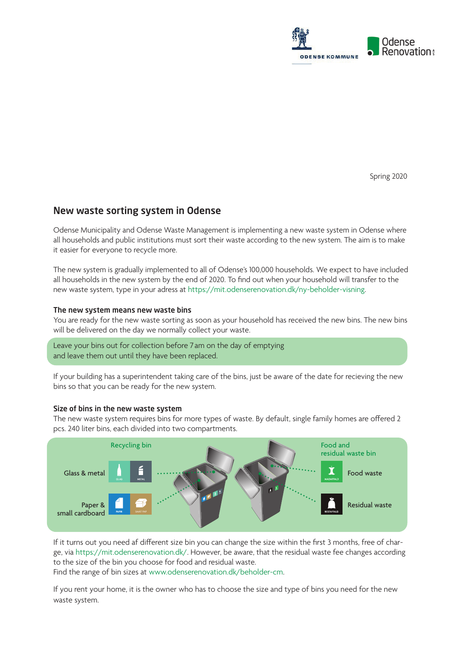

Spring 2020

# New waste sorting system in Odense

Odense Municipality and Odense Waste Management is implementing a new waste system in Odense where all households and public institutions must sort their waste according to the new system. The aim is to make it easier for everyone to recycle more.

The new system is gradually implemented to all of Odense's 100,000 households. We expect to have included all households in the new system by the end of 2020. To find out when your household will transfer to the new waste system, type in your adress at https://mit.odenserenovation.dk/ny-beholder-visning.

#### The new system means new waste bins

You are ready for the new waste sorting as soon as your household has received the new bins. The new bins will be delivered on the day we normally collect your waste.

Leave your bins out for collection before 7 am on the day of emptying and leave them out until they have been replaced.

If your building has a superintendent taking care of the bins, just be aware of the date for recieving the new bins so that you can be ready for the new system.

#### Size of bins in the new waste system

The new waste system requires bins for more types of waste. By default, single family homes are offered 2 pcs. 240 liter bins, each divided into two compartments.



If it turns out you need af different size bin you can change the size within the first 3 months, free of charge, via https://mit.odenserenovation.dk/. However, be aware, that the residual waste fee changes according to the size of the bin you choose for food and residual waste. Find the range of bin sizes at www.odenserenovation.dk/beholder-cm.

If you rent your home, it is the owner who has to choose the size and type of bins you need for the new waste system.